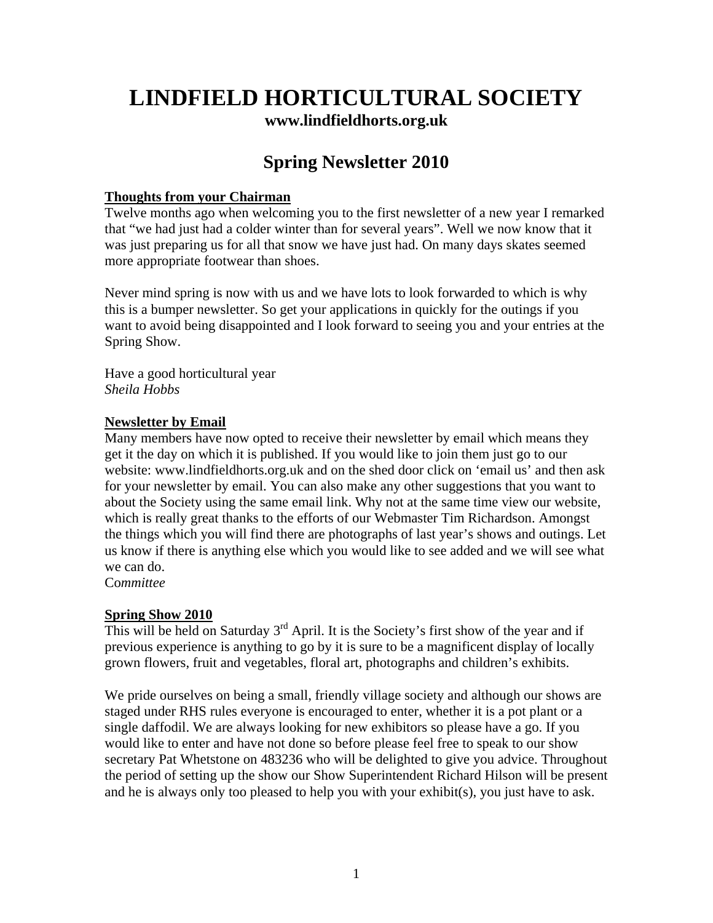# **LINDFIELD HORTICULTURAL SOCIETY [www.lindfieldhorts.org.uk](http://www.lindfieldhorts.org.uk/)**

## **Spring Newsletter 2010**

## **Thoughts from your Chairman**

Twelve months ago when welcoming you to the first newsletter of a new year I remarked that "we had just had a colder winter than for several years". Well we now know that it was just preparing us for all that snow we have just had. On many days skates seemed more appropriate footwear than shoes.

Never mind spring is now with us and we have lots to look forwarded to which is why this is a bumper newsletter. So get your applications in quickly for the outings if you want to avoid being disappointed and I look forward to seeing you and your entries at the Spring Show.

Have a good horticultural year *Sheila Hobbs* 

## **Newsletter by Email**

Many members have now opted to receive their newsletter by email which means they get it the day on which it is published. If you would like to join them just go to our website: www.lindfieldhorts.org.uk and on the shed door click on 'email us' and then ask for your newsletter by email. You can also make any other suggestions that you want to about the Society using the same email link. Why not at the same time view our website, which is really great thanks to the efforts of our Webmaster Tim Richardson. Amongst the things which you will find there are photographs of last year's shows and outings. Let us know if there is anything else which you would like to see added and we will see what we can do.

Co*mmittee*

## **Spring Show 2010**

This will be held on Saturday  $3^{rd}$  April. It is the Society's first show of the year and if previous experience is anything to go by it is sure to be a magnificent display of locally grown flowers, fruit and vegetables, floral art, photographs and children's exhibits.

We pride ourselves on being a small, friendly village society and although our shows are staged under RHS rules everyone is encouraged to enter, whether it is a pot plant or a single daffodil. We are always looking for new exhibitors so please have a go. If you would like to enter and have not done so before please feel free to speak to our show secretary Pat Whetstone on 483236 who will be delighted to give you advice. Throughout the period of setting up the show our Show Superintendent Richard Hilson will be present and he is always only too pleased to help you with your exhibit(s), you just have to ask.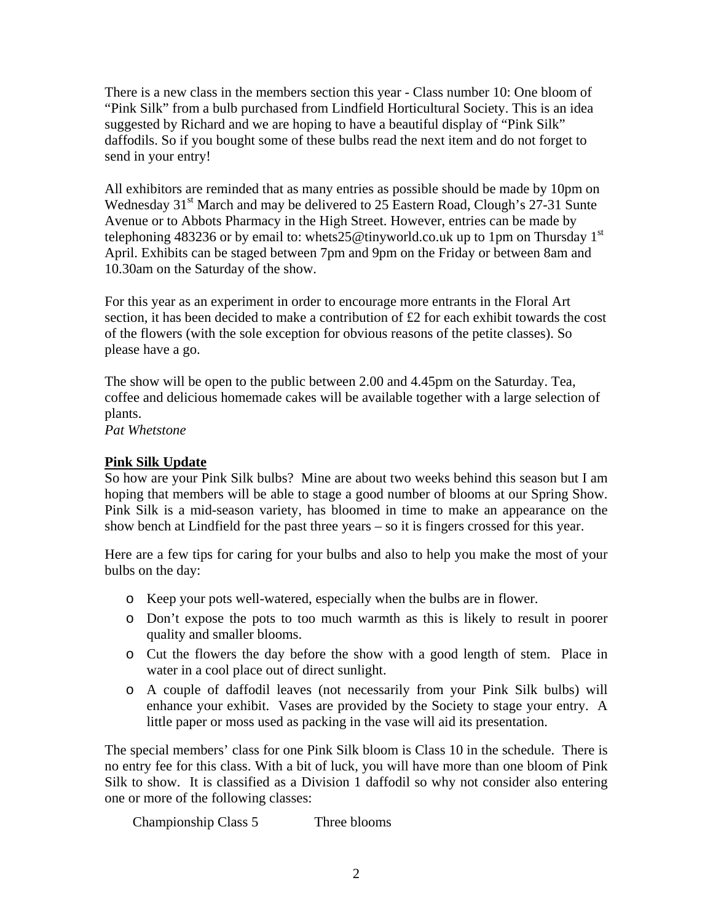There is a new class in the members section this year - Class number 10: One bloom of "Pink Silk" from a bulb purchased from Lindfield Horticultural Society. This is an idea suggested by Richard and we are hoping to have a beautiful display of "Pink Silk" daffodils. So if you bought some of these bulbs read the next item and do not forget to send in your entry!

All exhibitors are reminded that as many entries as possible should be made by 10pm on Wednesday 31<sup>st</sup> March and may be delivered to 25 Eastern Road, Clough's 27-31 Sunte Avenue or to Abbots Pharmacy in the High Street. However, entries can be made by telephoning 483236 or by email to: [whets25@tinyworld.co.uk](mailto:whets25@tinyworld.co.uk) up to 1pm on Thursday 1<sup>st</sup> April. Exhibits can be staged between 7pm and 9pm on the Friday or between 8am and 10.30am on the Saturday of the show.

For this year as an experiment in order to encourage more entrants in the Floral Art section, it has been decided to make a contribution of £2 for each exhibit towards the cost of the flowers (with the sole exception for obvious reasons of the petite classes). So please have a go.

The show will be open to the public between 2.00 and 4.45pm on the Saturday. Tea, coffee and delicious homemade cakes will be available together with a large selection of plants.

*Pat Whetstone* 

## **Pink Silk Update**

So how are your Pink Silk bulbs? Mine are about two weeks behind this season but I am hoping that members will be able to stage a good number of blooms at our Spring Show. Pink Silk is a mid-season variety, has bloomed in time to make an appearance on the show bench at Lindfield for the past three years – so it is fingers crossed for this year.

Here are a few tips for caring for your bulbs and also to help you make the most of your bulbs on the day:

- o Keep your pots well-watered, especially when the bulbs are in flower.
- o Don't expose the pots to too much warmth as this is likely to result in poorer quality and smaller blooms.
- o Cut the flowers the day before the show with a good length of stem. Place in water in a cool place out of direct sunlight.
- o A couple of daffodil leaves (not necessarily from your Pink Silk bulbs) will enhance your exhibit. Vases are provided by the Society to stage your entry. A little paper or moss used as packing in the vase will aid its presentation.

The special members' class for one Pink Silk bloom is Class 10 in the schedule. There is no entry fee for this class. With a bit of luck, you will have more than one bloom of Pink Silk to show. It is classified as a Division 1 daffodil so why not consider also entering one or more of the following classes:

Championship Class 5 Three blooms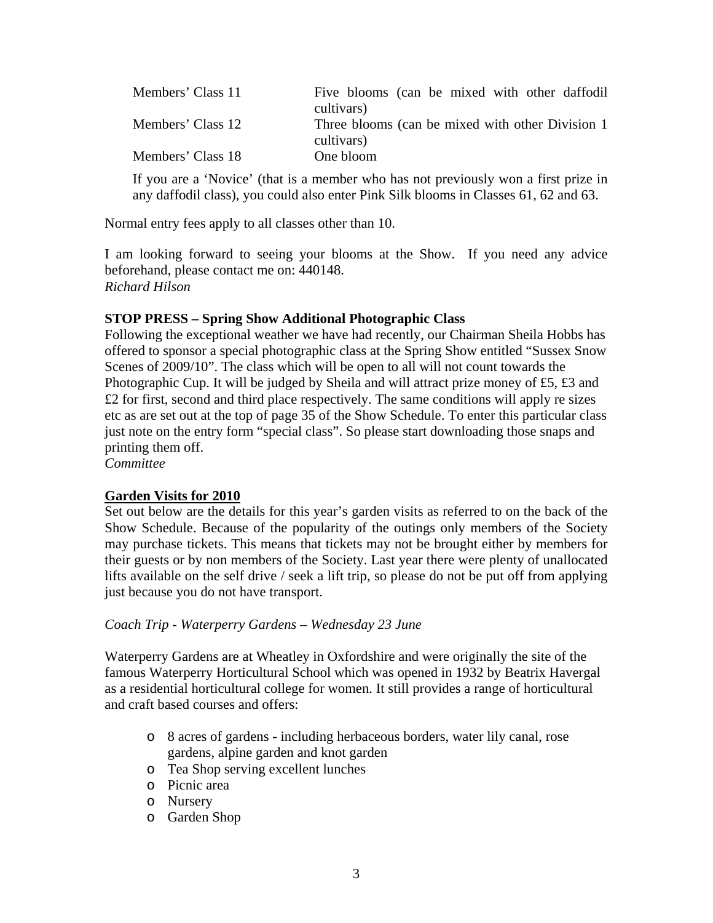| Members' Class 11 | Five blooms (can be mixed with other daffodil                   |
|-------------------|-----------------------------------------------------------------|
|                   | cultivars)                                                      |
| Members' Class 12 | Three blooms (can be mixed with other Division 1)<br>cultivars) |
| Members' Class 18 | One bloom                                                       |

If you are a 'Novice' (that is a member who has not previously won a first prize in any daffodil class), you could also enter Pink Silk blooms in Classes 61, 62 and 63.

Normal entry fees apply to all classes other than 10.

I am looking forward to seeing your blooms at the Show. If you need any advice beforehand, please contact me on: 440148. *Richard Hilson* 

## **STOP PRESS – Spring Show Additional Photographic Class**

Following the exceptional weather we have had recently, our Chairman Sheila Hobbs has offered to sponsor a special photographic class at the Spring Show entitled "Sussex Snow Scenes of 2009/10". The class which will be open to all will not count towards the Photographic Cup. It will be judged by Sheila and will attract prize money of £5, £3 and £2 for first, second and third place respectively. The same conditions will apply re sizes etc as are set out at the top of page 35 of the Show Schedule. To enter this particular class just note on the entry form "special class". So please start downloading those snaps and printing them off.

*Committee* 

## **Garden Visits for 2010**

Set out below are the details for this year's garden visits as referred to on the back of the Show Schedule. Because of the popularity of the outings only members of the Society may purchase tickets. This means that tickets may not be brought either by members for their guests or by non members of the Society. Last year there were plenty of unallocated lifts available on the self drive / seek a lift trip, so please do not be put off from applying just because you do not have transport.

#### *Coach Trip - Waterperry Gardens – Wednesday 23 June*

Waterperry Gardens are at Wheatley in Oxfordshire and were originally the site of the famous Waterperry Horticultural School which was opened in 1932 by Beatrix Havergal as a residential horticultural college for women. It still provides a range of horticultural and craft based courses and offers:

- o 8 acres of gardens including herbaceous borders, water lily canal, rose gardens, alpine garden and knot garden
- o Tea Shop serving excellent lunches
- o Picnic area
- o Nursery
- o Garden Shop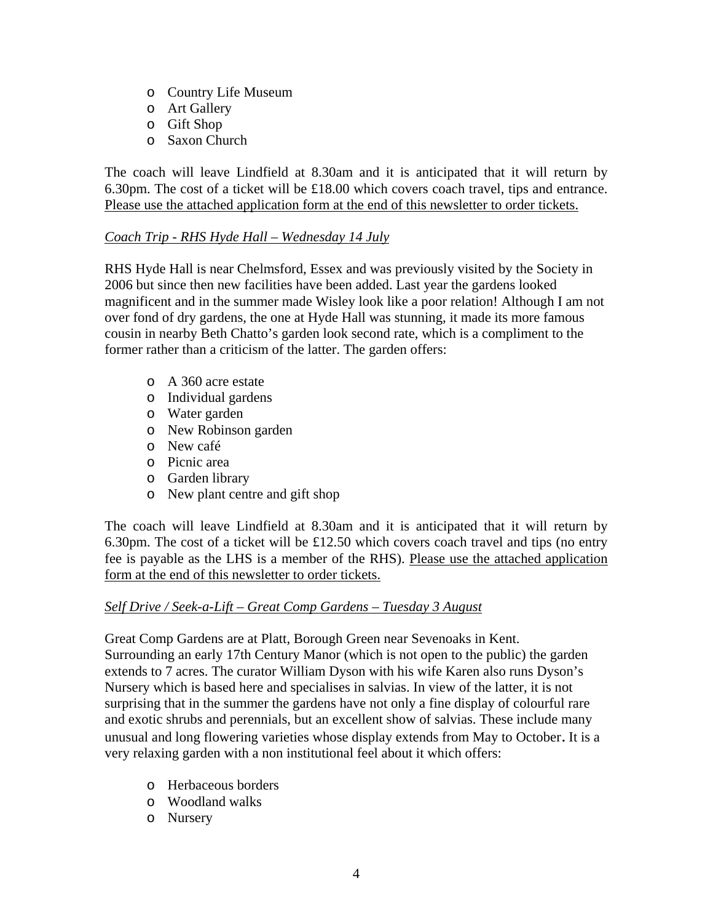- o Country Life Museum
- o Art Gallery
- o Gift Shop
- o Saxon Church

The coach will leave Lindfield at 8.30am and it is anticipated that it will return by 6.30pm. The cost of a ticket will be £18.00 which covers coach travel, tips and entrance. Please use the attached application form at the end of this newsletter to order tickets.

#### *Coach Trip - RHS Hyde Hall – Wednesday 14 July*

RHS Hyde Hall is near Chelmsford, Essex and was previously visited by the Society in 2006 but since then new facilities have been added. Last year the gardens looked magnificent and in the summer made Wisley look like a poor relation! Although I am not over fond of dry gardens, the one at Hyde Hall was stunning, it made its more famous cousin in nearby Beth Chatto's garden look second rate, which is a compliment to the former rather than a criticism of the latter. The garden offers:

- o A 360 acre estate
- o Individual gardens
- o Water garden
- o New Robinson garden
- o New café
- o Picnic area
- o Garden library
- o New plant centre and gift shop

The coach will leave Lindfield at 8.30am and it is anticipated that it will return by 6.30pm. The cost of a ticket will be  $£12.50$  which covers coach travel and tips (no entry fee is payable as the LHS is a member of the RHS). Please use the attached application form at the end of this newsletter to order tickets.

#### *Self Drive / Seek-a-Lift – Great Comp Gardens – Tuesday 3 August*

Great Comp Gardens are at Platt, Borough Green near Sevenoaks in Kent. Surrounding an early 17th Century Manor (which is not open to the public) the garden extends to 7 acres. The curator William Dyson with his wife Karen also runs Dyson's Nursery which is based here and specialises in salvias. In view of the latter, it is not surprising that in the summer the gardens have not only a fine display of colourful rare and exotic shrubs and perennials, but an excellent show of salvias. These include many unusual and long flowering varieties whose display extends from May to October. It is a very relaxing garden with a non institutional feel about it which offers:

- o Herbaceous borders
- o Woodland walks
- o Nursery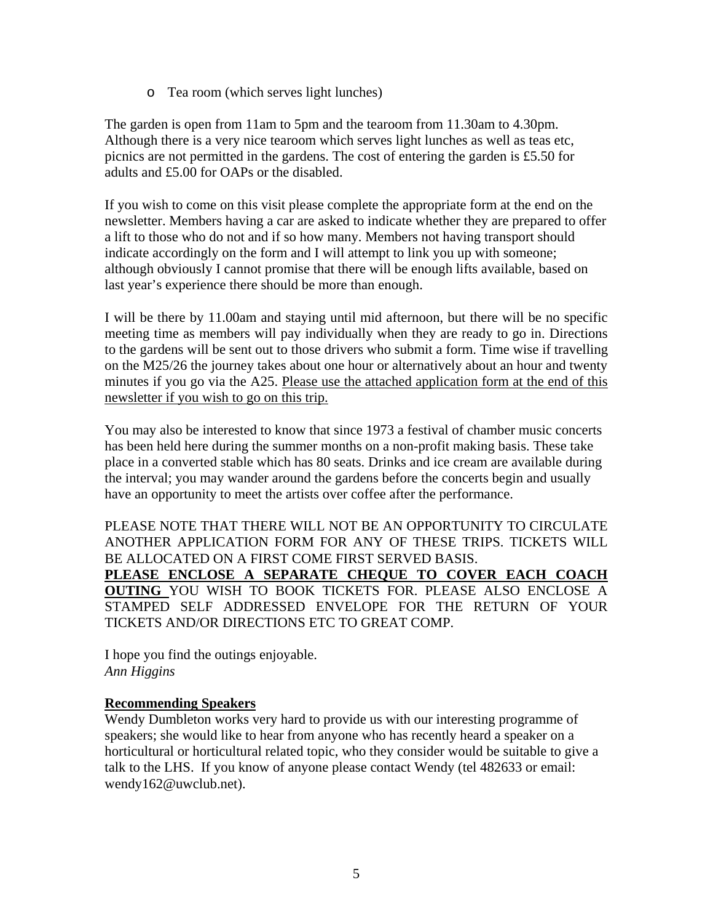o Tea room (which serves light lunches)

The garden is open from 11am to 5pm and the tearoom from 11.30am to 4.30pm. Although there is a very nice tearoom which serves light lunches as well as teas etc, picnics are not permitted in the gardens. The cost of entering the garden is £5.50 for adults and £5.00 for OAPs or the disabled.

If you wish to come on this visit please complete the appropriate form at the end on the newsletter. Members having a car are asked to indicate whether they are prepared to offer a lift to those who do not and if so how many. Members not having transport should indicate accordingly on the form and I will attempt to link you up with someone; although obviously I cannot promise that there will be enough lifts available, based on last year's experience there should be more than enough.

I will be there by 11.00am and staying until mid afternoon, but there will be no specific meeting time as members will pay individually when they are ready to go in. Directions to the gardens will be sent out to those drivers who submit a form. Time wise if travelling on the M25/26 the journey takes about one hour or alternatively about an hour and twenty minutes if you go via the A25. Please use the attached application form at the end of this newsletter if you wish to go on this trip.

You may also be interested to know that since 1973 a festival of chamber music concerts has been held here during the summer months on a non-profit making basis. These take place in a converted stable which has 80 seats. Drinks and ice cream are available during the interval; you may wander around the gardens before the concerts begin and usually have an opportunity to meet the artists over coffee after the performance.

PLEASE NOTE THAT THERE WILL NOT BE AN OPPORTUNITY TO CIRCULATE ANOTHER APPLICATION FORM FOR ANY OF THESE TRIPS. TICKETS WILL BE ALLOCATED ON A FIRST COME FIRST SERVED BASIS. **PLEASE ENCLOSE A SEPARATE CHEQUE TO COVER EACH COACH OUTING** YOU WISH TO BOOK TICKETS FOR. PLEASE ALSO ENCLOSE A STAMPED SELF ADDRESSED ENVELOPE FOR THE RETURN OF YOUR TICKETS AND/OR DIRECTIONS ETC TO GREAT COMP.

I hope you find the outings enjoyable. *Ann Higgins* 

## **Recommending Speakers**

Wendy Dumbleton works very hard to provide us with our interesting programme of speakers; she would like to hear from anyone who has recently heard a speaker on a horticultural or horticultural related topic, who they consider would be suitable to give a talk to the LHS. If you know of anyone please contact Wendy (tel 482633 or email: wendy162@uwclub.net).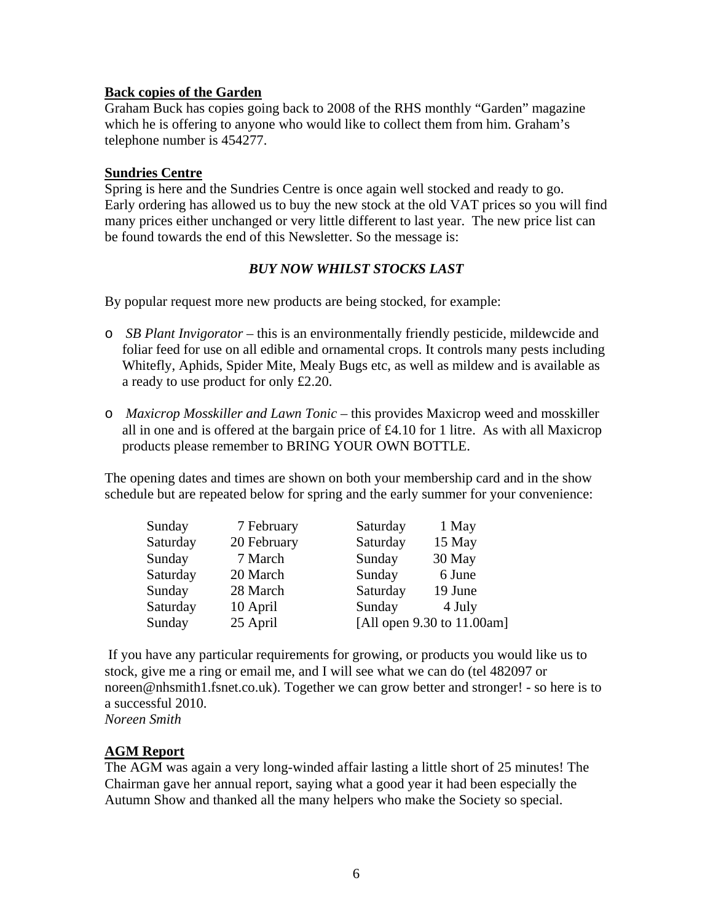#### **Back copies of the Garden**

Graham Buck has copies going back to 2008 of the RHS monthly "Garden" magazine which he is offering to anyone who would like to collect them from him. Graham's telephone number is 454277.

#### **Sundries Centre**

Spring is here and the Sundries Centre is once again well stocked and ready to go. Early ordering has allowed us to buy the new stock at the old VAT prices so you will find many prices either unchanged or very little different to last year. The new price list can be found towards the end of this Newsletter. So the message is:

#### *BUY NOW WHILST STOCKS LAST*

By popular request more new products are being stocked, for example:

- o *SB Plant Invigorator* this is an environmentally friendly pesticide, mildewcide and foliar feed for use on all edible and ornamental crops. It controls many pests including Whitefly, Aphids, Spider Mite, Mealy Bugs etc, as well as mildew and is available as a ready to use product for only £2.20.
- o *Maxicrop Mosskiller and Lawn Tonic* this provides Maxicrop weed and mosskiller all in one and is offered at the bargain price of £4.10 for 1 litre. As with all Maxicrop products please remember to BRING YOUR OWN BOTTLE.

The opening dates and times are shown on both your membership card and in the show schedule but are repeated below for spring and the early summer for your convenience:

| Sunday   | 7 February  | Saturday                   | 1 May   |
|----------|-------------|----------------------------|---------|
| Saturday | 20 February | Saturday                   | 15 May  |
| Sunday   | 7 March     | Sunday                     | 30 May  |
| Saturday | 20 March    | Sunday                     | 6 June  |
| Sunday   | 28 March    | Saturday                   | 19 June |
| Saturday | 10 April    | Sunday                     | 4 July  |
| Sunday   | 25 April    | [All open 9.30 to 11.00am] |         |

 If you have any particular requirements for growing, or products you would like us to stock, give me a ring or email me, and I will see what we can do (tel 482097 or [noreen@nhsmith1.fsnet.co.uk](mailto:noreen@nhsmith1.fsnet.co.uk)). Together we can grow better and stronger! - so here is to a successful 2010.

*Noreen Smith* 

#### **AGM Report**

The AGM was again a very long-winded affair lasting a little short of 25 minutes! The Chairman gave her annual report, saying what a good year it had been especially the Autumn Show and thanked all the many helpers who make the Society so special.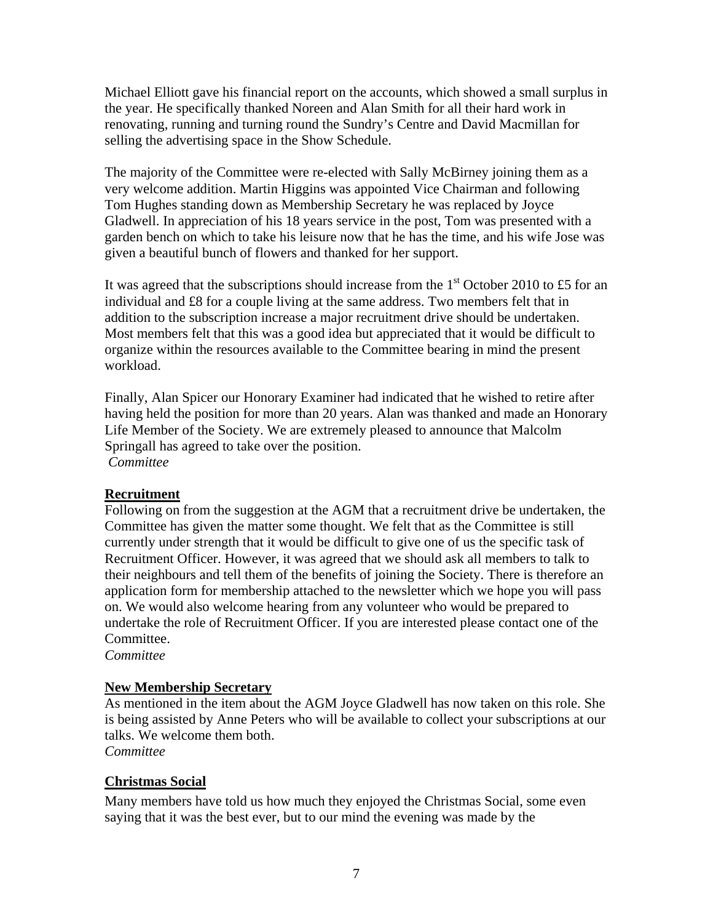Michael Elliott gave his financial report on the accounts, which showed a small surplus in the year. He specifically thanked Noreen and Alan Smith for all their hard work in renovating, running and turning round the Sundry's Centre and David Macmillan for selling the advertising space in the Show Schedule.

The majority of the Committee were re-elected with Sally McBirney joining them as a very welcome addition. Martin Higgins was appointed Vice Chairman and following Tom Hughes standing down as Membership Secretary he was replaced by Joyce Gladwell. In appreciation of his 18 years service in the post, Tom was presented with a garden bench on which to take his leisure now that he has the time, and his wife Jose was given a beautiful bunch of flowers and thanked for her support.

It was agreed that the subscriptions should increase from the  $1<sup>st</sup>$  October 2010 to £5 for an individual and £8 for a couple living at the same address. Two members felt that in addition to the subscription increase a major recruitment drive should be undertaken. Most members felt that this was a good idea but appreciated that it would be difficult to organize within the resources available to the Committee bearing in mind the present workload.

Finally, Alan Spicer our Honorary Examiner had indicated that he wished to retire after having held the position for more than 20 years. Alan was thanked and made an Honorary Life Member of the Society. We are extremely pleased to announce that Malcolm Springall has agreed to take over the position.  *Committee* 

## **Recruitment**

Following on from the suggestion at the AGM that a recruitment drive be undertaken, the Committee has given the matter some thought. We felt that as the Committee is still currently under strength that it would be difficult to give one of us the specific task of Recruitment Officer. However, it was agreed that we should ask all members to talk to their neighbours and tell them of the benefits of joining the Society. There is therefore an application form for membership attached to the newsletter which we hope you will pass on. We would also welcome hearing from any volunteer who would be prepared to undertake the role of Recruitment Officer. If you are interested please contact one of the Committee.

*Committee* 

## **New Membership Secretary**

As mentioned in the item about the AGM Joyce Gladwell has now taken on this role. She is being assisted by Anne Peters who will be available to collect your subscriptions at our talks. We welcome them both.

*Committee* 

## **Christmas Social**

Many members have told us how much they enjoyed the Christmas Social, some even saying that it was the best ever, but to our mind the evening was made by the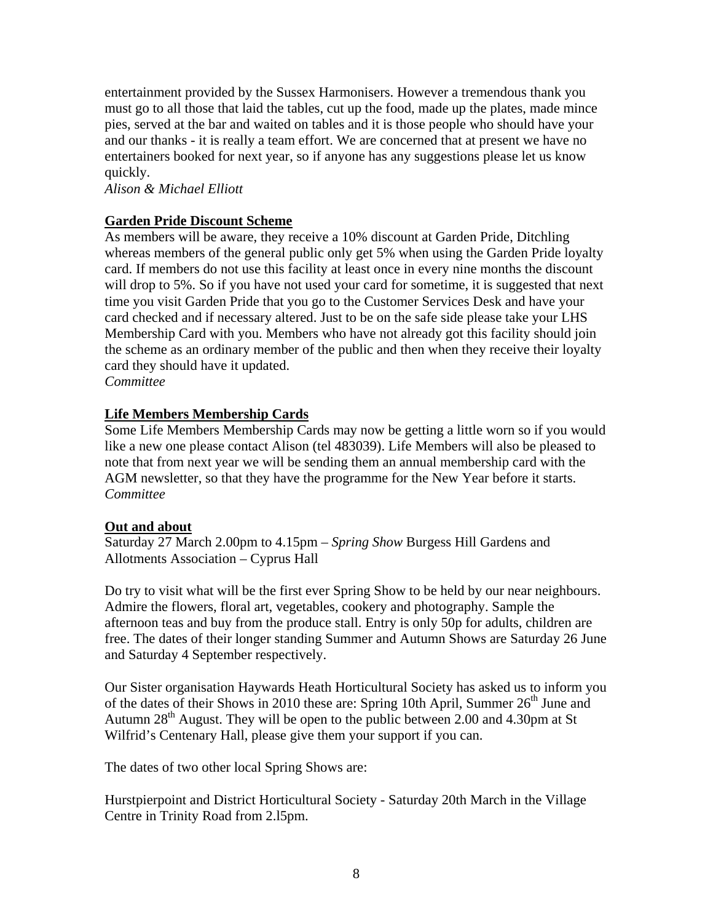entertainment provided by the Sussex Harmonisers. However a tremendous thank you must go to all those that laid the tables, cut up the food, made up the plates, made mince pies, served at the bar and waited on tables and it is those people who should have your and our thanks - it is really a team effort. We are concerned that at present we have no entertainers booked for next year, so if anyone has any suggestions please let us know quickly.

*Alison & Michael Elliott* 

#### **Garden Pride Discount Scheme**

As members will be aware, they receive a 10% discount at Garden Pride, Ditchling whereas members of the general public only get 5% when using the Garden Pride loyalty card. If members do not use this facility at least once in every nine months the discount will drop to 5%. So if you have not used your card for sometime, it is suggested that next time you visit Garden Pride that you go to the Customer Services Desk and have your card checked and if necessary altered. Just to be on the safe side please take your LHS Membership Card with you. Members who have not already got this facility should join the scheme as an ordinary member of the public and then when they receive their loyalty card they should have it updated.

*Committee* 

#### **Life Members Membership Cards**

Some Life Members Membership Cards may now be getting a little worn so if you would like a new one please contact Alison (tel 483039). Life Members will also be pleased to note that from next year we will be sending them an annual membership card with the AGM newsletter, so that they have the programme for the New Year before it starts. *Committee*

#### **Out and about**

Saturday 27 March 2.00pm to 4.15pm – *Spring Show* Burgess Hill Gardens and Allotments Association – Cyprus Hall

Do try to visit what will be the first ever Spring Show to be held by our near neighbours. Admire the flowers, floral art, vegetables, cookery and photography. Sample the afternoon teas and buy from the produce stall. Entry is only 50p for adults, children are free. The dates of their longer standing Summer and Autumn Shows are Saturday 26 June and Saturday 4 September respectively.

Our Sister organisation Haywards Heath Horticultural Society has asked us to inform you of the dates of their Shows in 2010 these are: Spring 10th April, Summer  $26<sup>th</sup>$  June and Autumn  $28<sup>th</sup>$  August. They will be open to the public between 2.00 and 4.30pm at St [Wilfrid's Centenary Hall](http://www.google.co.uk/search?hl=en&cr=countryUK%7CcountryGB&ei=wKVyS7WBOMK7jAfLzZDKCw&sa=X&oi=spellfullpage&resnum=0&ct=result&cd=2&ved=0CAcQvwUoAQ&&q=St+Wilfrid%E2%80%99s+Hall+centenary+hall&spell=1), please give them your support if you can.

The dates of two other local Spring Shows are:

Hurstpierpoint and District Horticultural Society - Saturday 20th March in the Village Centre in Trinity Road from 2.l5pm.